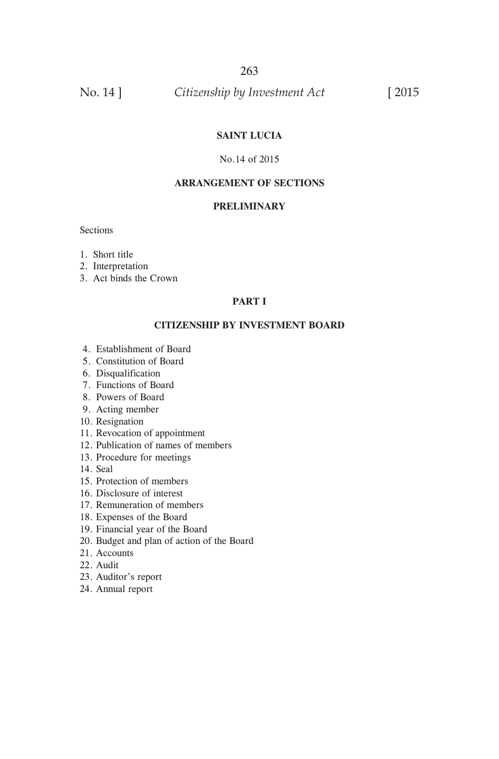No. 14 ] *Citizenship by Investment Act* [ 2015

### **SAINT LUCIA**

#### No.14 of 2015

#### **ARRANGEMENT OF SECTIONS**

#### **PRELIMINARY**

**Sections** 

- 1. Short title
- 2. Interpretation
- 3. Act binds the Crown

#### **PART I**

#### **CITIZENSHIP BY INVESTMENT BOARD**

- 4. Establishment of Board
- 5. Constitution of Board
- 6. Disqualification
- 7. Functions of Board
- 8. Powers of Board
- 9. Acting member
- 10. Resignation
- 11. Revocation of appointment
- 12. Publication of names of members
- 13. Procedure for meetings
- 14. Seal
- 15. Protection of members
- 16. Disclosure of interest
- 17. Remuneration of members
- 18. Expenses of the Board
- 19. Financial year of the Board
- 20. Budget and plan of action of the Board
- 21. Accounts
- 22. Audit
- 23. Auditor's report
- 24. Annual report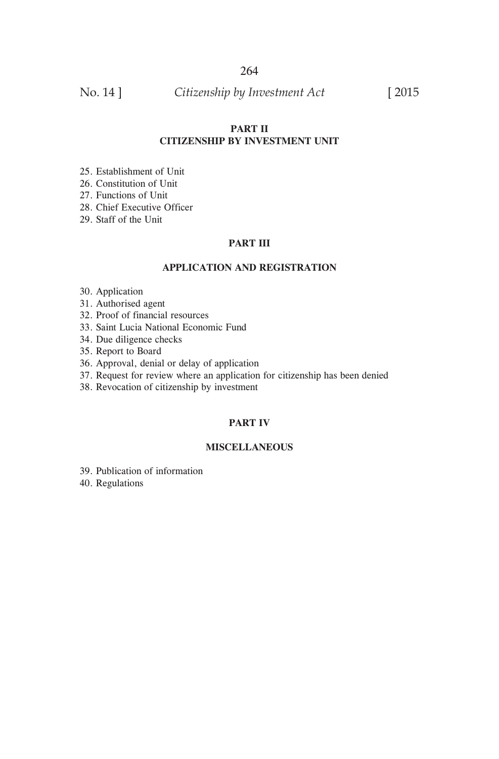No. 14 ] *Citizenship by Investment Act* [ 2015

#### **PART II CITIZENSHIP BY INVESTMENT UNIT**

- 25. Establishment of Unit
- 26. Constitution of Unit
- 27. Functions of Unit
- 28. Chief Executive Officer
- 29. Staff of the Unit

#### **PART III**

#### **APPLICATION AND REGISTRATION**

- 30. Application
- 31. Authorised agent
- 32. Proof of financial resources
- 33. Saint Lucia National Economic Fund
- 34. Due diligence checks
- 35. Report to Board
- 36. Approval, denial or delay of application
- 37. Request for review where an application for citizenship has been denied
- 38. Revocation of citizenship by investment

#### **PART IV**

#### **MISCELLANEOUS**

- 39. Publication of information
- 40. Regulations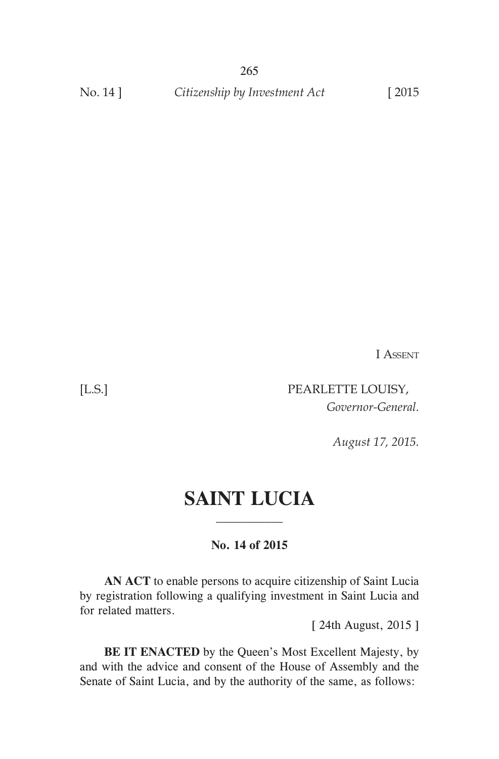265 No. 14 ] *Citizenship by Investment Act* [2015]

I Assent

[L.S.] PEARLETTE LOUISY, *Governor-General.*

*August 17, 2015.*

# **SAINT LUCIA**

**No. 14 of 2015**

 **AN ACT** to enable persons to acquire citizenship of Saint Lucia by registration following a qualifying investment in Saint Lucia and for related matters.

[ 24th August, 2015 ]

 **BE IT ENACTED** by the Queen's Most Excellent Majesty, by and with the advice and consent of the House of Assembly and the Senate of Saint Lucia, and by the authority of the same, as follows: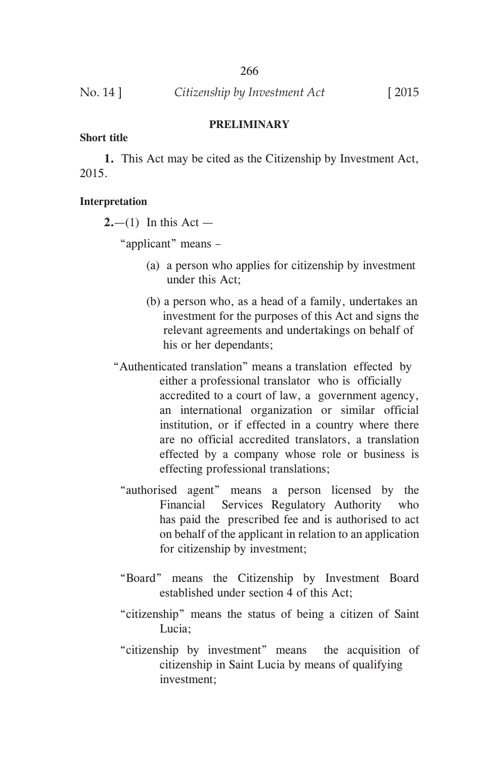|          | 266                           |                |
|----------|-------------------------------|----------------|
| No. 14 ] | Citizenship by Investment Act | $\boxed{2015}$ |

#### **PRELIMINARY**

#### **Short title**

 **1.** This Act may be cited as the Citizenship by Investment Act, 2015.

#### **Interpretation**

 $2,-(1)$  In this Act —

"applicant" means –

- (a) a person who applies for citizenship by investment under this Act;
- (b) a person who, as a head of a family, undertakes an investment for the purposes of this Act and signs the relevant agreements and undertakings on behalf of his or her dependants;
- "Authenticated translation" means a translation effected by either a professional translator who is officially accredited to a court of law, a government agency, an international organization or similar official institution, or if effected in a country where there are no official accredited translators, a translation effected by a company whose role or business is effecting professional translations;
	- "authorised agent" means a person licensed by the Financial Services Regulatory Authority who has paid the prescribed fee and is authorised to act on behalf of the applicant in relation to an application for citizenship by investment;
	- "Board" means the Citizenship by Investment Board established under section 4 of this Act;
	- "citizenship" means the status of being a citizen of Saint Lucia;
	- "citizenship by investment" means the acquisition of citizenship in Saint Lucia by means of qualifying investment;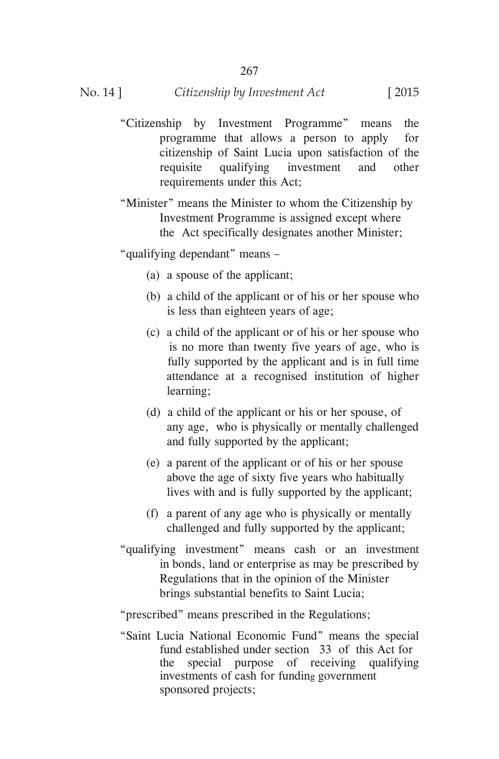- "Citizenship by Investment Programme" means the programme that allows a person to apply for citizenship of Saint Lucia upon satisfaction of the requisite qualifying investment and other requirements under this Act;
- "Minister" means the Minister to whom the Citizenship by Investment Programme is assigned except where the Act specifically designates another Minister;

"qualifying dependant" means –

- (a) a spouse of the applicant;
- (b) a child of the applicant or of his or her spouse who is less than eighteen years of age;
- (c) a child of the applicant or of his or her spouse who is no more than twenty five years of age, who is fully supported by the applicant and is in full time attendance at a recognised institution of higher learning;
- (d) a child of the applicant or his or her spouse, of any age, who is physically or mentally challenged and fully supported by the applicant;
- (e) a parent of the applicant or of his or her spouse above the age of sixty five years who habitually lives with and is fully supported by the applicant;
- (f) a parent of any age who is physically or mentally challenged and fully supported by the applicant;
- "qualifying investment" means cash or an investment in bonds, land or enterprise as may be prescribed by Regulations that in the opinion of the Minister brings substantial benefits to Saint Lucia;
- "prescribed" means prescribed in the Regulations;
- "Saint Lucia National Economic Fund" means the special fund established under section 33 of this Act for the special purpose of receiving qualifying investments of cash for funding government sponsored projects;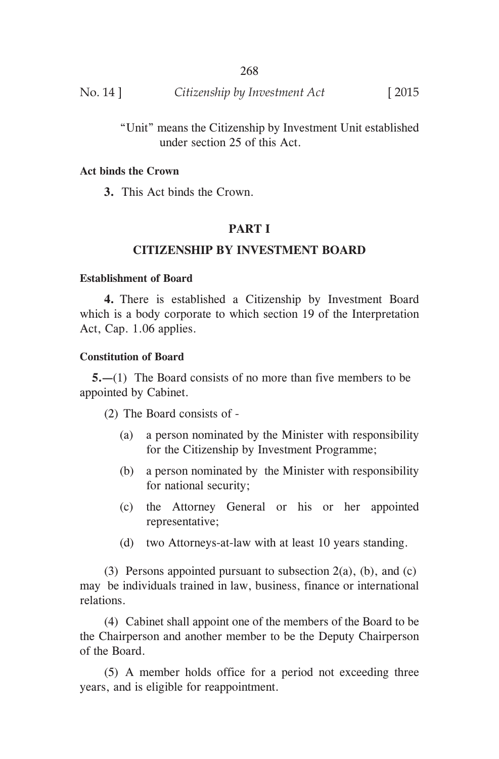| No. 14 ] | Citizenship by Investment Act | $\lceil 2015 \rceil$ |
|----------|-------------------------------|----------------------|
|          |                               |                      |

 "Unit" means the Citizenship by Investment Unit established under section 25 of this Act.

### **Act binds the Crown**

 **3.** This Act binds the Crown.

# **PART I**

# **CITIZENSHIP BY INVESTMENT BOARD**

#### **Establishment of Board**

 **4.** There is established a Citizenship by Investment Board which is a body corporate to which section 19 of the Interpretation Act, Cap. 1.06 applies.

### **Constitution of Board**

**5.—**(1) The Board consists of no more than five members to be appointed by Cabinet.

(2) The Board consists of -

- (a) a person nominated by the Minister with responsibility for the Citizenship by Investment Programme;
- (b) a person nominated by the Minister with responsibility for national security;
- (c) the Attorney General or his or her appointed representative;
- (d) two Attorneys-at-law with at least 10 years standing.

(3) Persons appointed pursuant to subsection  $2(a)$ , (b), and (c) may be individuals trained in law, business, finance or international relations.

 (4) Cabinet shall appoint one of the members of the Board to be the Chairperson and another member to be the Deputy Chairperson of the Board.

 (5) A member holds office for a period not exceeding three years, and is eligible for reappointment.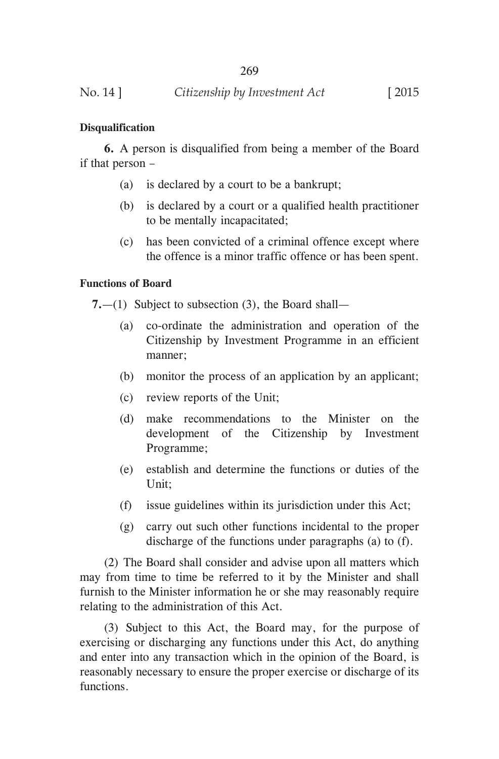### **Disqualification**

**6.** A person is disqualified from being a member of the Board if that person –

- (a) is declared by a court to be a bankrupt;
- (b) is declared by a court or a qualified health practitioner to be mentally incapacitated;
- (c) has been convicted of a criminal offence except where the offence is a minor traffic offence or has been spent.

### **Functions of Board**

**7.**—(1) Subject to subsection (3), the Board shall—

- (a) co-ordinate the administration and operation of the Citizenship by Investment Programme in an efficient manner;
- (b) monitor the process of an application by an applicant;
- (c) review reports of the Unit;
- (d) make recommendations to the Minister on the development of the Citizenship by Investment Programme;
- (e) establish and determine the functions or duties of the Unit;
- (f) issue guidelines within its jurisdiction under this Act;
- (g) carry out such other functions incidental to the proper discharge of the functions under paragraphs (a) to (f).

 (2) The Board shall consider and advise upon all matters which may from time to time be referred to it by the Minister and shall furnish to the Minister information he or she may reasonably require relating to the administration of this Act.

 (3) Subject to this Act, the Board may, for the purpose of exercising or discharging any functions under this Act, do anything and enter into any transaction which in the opinion of the Board, is reasonably necessary to ensure the proper exercise or discharge of its functions.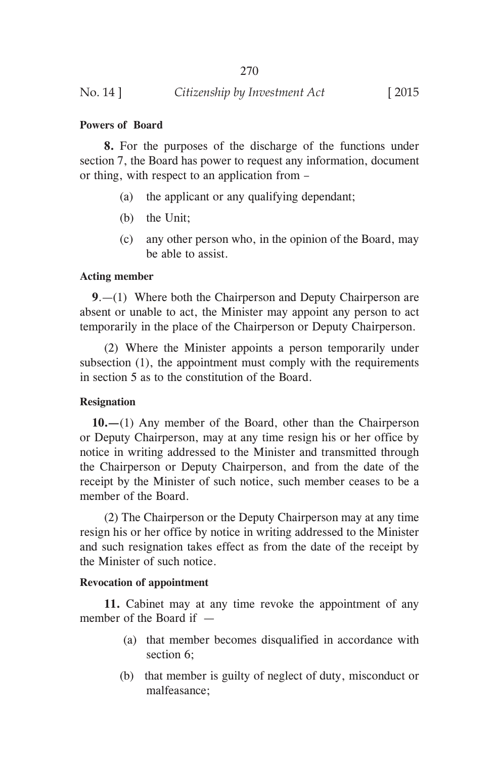### **Powers of Board**

 **8.** For the purposes of the discharge of the functions under section 7, the Board has power to request any information, document or thing, with respect to an application from –

- (a) the applicant or any qualifying dependant;
- (b) the Unit;
- (c) any other person who, in the opinion of the Board, may be able to assist.

### **Acting member**

**9**.—(1) Where both the Chairperson and Deputy Chairperson are absent or unable to act, the Minister may appoint any person to act temporarily in the place of the Chairperson or Deputy Chairperson.

 (2) Where the Minister appoints a person temporarily under subsection (1), the appointment must comply with the requirements in section 5 as to the constitution of the Board.

# **Resignation**

**10.—**(1) Any member of the Board, other than the Chairperson or Deputy Chairperson, may at any time resign his or her office by notice in writing addressed to the Minister and transmitted through the Chairperson or Deputy Chairperson, and from the date of the receipt by the Minister of such notice, such member ceases to be a member of the Board.

 (2) The Chairperson or the Deputy Chairperson may at any time resign his or her office by notice in writing addressed to the Minister and such resignation takes effect as from the date of the receipt by the Minister of such notice.

# **Revocation of appointment**

 **11.** Cabinet may at any time revoke the appointment of any member of the Board if —

- (a) that member becomes disqualified in accordance with section 6;
- (b) that member is guilty of neglect of duty, misconduct or malfeasance;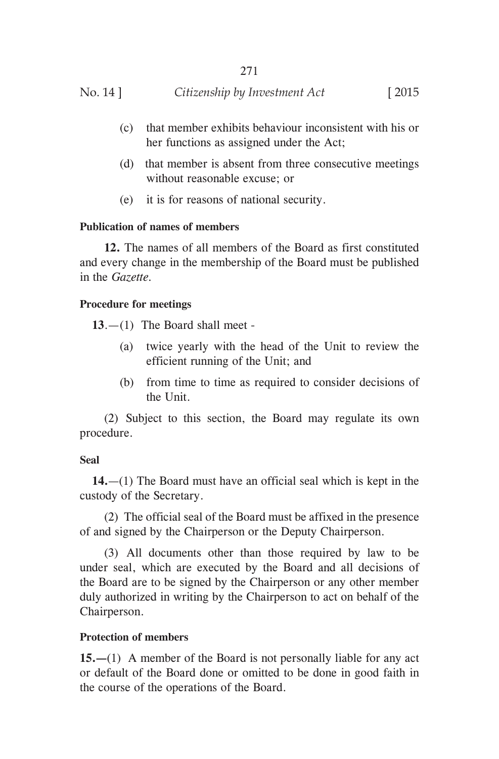- (c) that member exhibits behaviour inconsistent with his or her functions as assigned under the Act;
- (d) that member is absent from three consecutive meetings without reasonable excuse; or
- (e) it is for reasons of national security.

# **Publication of names of members**

 **12.** The names of all members of the Board as first constituted and every change in the membership of the Board must be published in the *Gazette.*

### **Procedure for meetings**

**13**.—(1) The Board shall meet -

- (a) twice yearly with the head of the Unit to review the efficient running of the Unit; and
- (b) from time to time as required to consider decisions of the Unit.

 (2) Subject to this section, the Board may regulate its own procedure.

### **Seal**

**14.**—(1) The Board must have an official seal which is kept in the custody of the Secretary.

 (2) The official seal of the Board must be affixed in the presence of and signed by the Chairperson or the Deputy Chairperson.

 (3) All documents other than those required by law to be under seal, which are executed by the Board and all decisions of the Board are to be signed by the Chairperson or any other member duly authorized in writing by the Chairperson to act on behalf of the Chairperson.

# **Protection of members**

**15.—**(1) A member of the Board is not personally liable for any act or default of the Board done or omitted to be done in good faith in the course of the operations of the Board.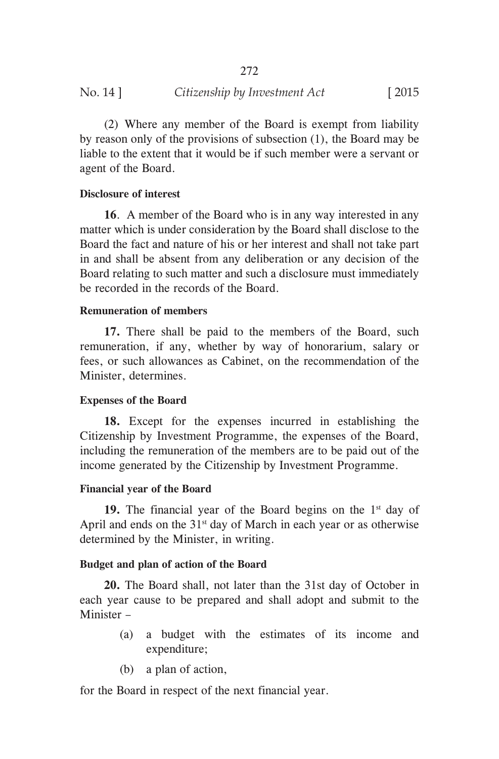(2) Where any member of the Board is exempt from liability by reason only of the provisions of subsection (1), the Board may be liable to the extent that it would be if such member were a servant or agent of the Board.

### **Disclosure of interest**

 **16**. A member of the Board who is in any way interested in any matter which is under consideration by the Board shall disclose to the Board the fact and nature of his or her interest and shall not take part in and shall be absent from any deliberation or any decision of the Board relating to such matter and such a disclosure must immediately be recorded in the records of the Board.

### **Remuneration of members**

 **17.** There shall be paid to the members of the Board, such remuneration, if any, whether by way of honorarium, salary or fees, or such allowances as Cabinet, on the recommendation of the Minister, determines.

# **Expenses of the Board**

 **18.** Except for the expenses incurred in establishing the Citizenship by Investment Programme, the expenses of the Board, including the remuneration of the members are to be paid out of the income generated by the Citizenship by Investment Programme.

### **Financial year of the Board**

**19.** The financial year of the Board begins on the  $1<sup>st</sup>$  day of April and ends on the  $31<sup>st</sup>$  day of March in each year or as otherwise determined by the Minister, in writing.

# **Budget and plan of action of the Board**

 **20.** The Board shall, not later than the 31st day of October in each year cause to be prepared and shall adopt and submit to the Minister –

- (a) a budget with the estimates of its income and expenditure;
- (b) a plan of action,

for the Board in respect of the next financial year.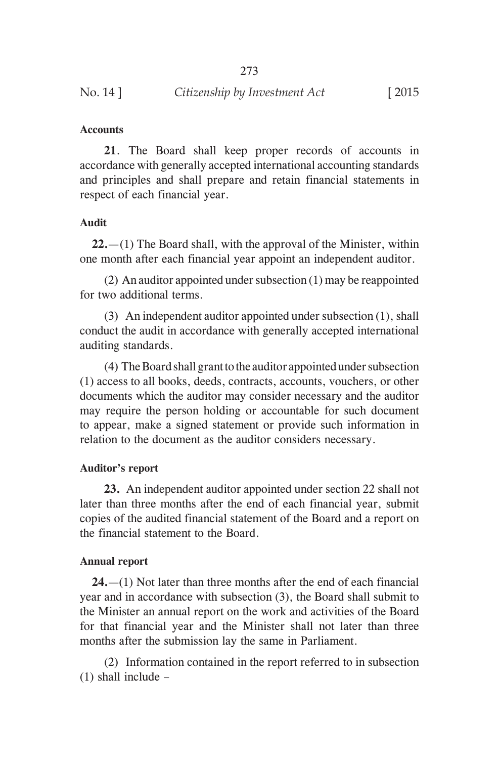| No. 14 ]<br>Citizenship by Investment Act | $[2015$ |
|-------------------------------------------|---------|
|-------------------------------------------|---------|

#### **Accounts**

 **21**. The Board shall keep proper records of accounts in accordance with generally accepted international accounting standards and principles and shall prepare and retain financial statements in respect of each financial year.

#### **Audit**

**22.**—(1) The Board shall, with the approval of the Minister, within one month after each financial year appoint an independent auditor.

 (2) An auditor appointed under subsection (1) may be reappointed for two additional terms.

 (3) An independent auditor appointed under subsection (1), shall conduct the audit in accordance with generally accepted international auditing standards.

 (4) The Board shall grant to the auditor appointed under subsection (1) access to all books, deeds, contracts, accounts, vouchers, or other documents which the auditor may consider necessary and the auditor may require the person holding or accountable for such document to appear, make a signed statement or provide such information in relation to the document as the auditor considers necessary.

#### **Auditor's report**

 **23.** An independent auditor appointed under section 22 shall not later than three months after the end of each financial year, submit copies of the audited financial statement of the Board and a report on the financial statement to the Board.

#### **Annual report**

**24.**—(1) Not later than three months after the end of each financial year and in accordance with subsection (3), the Board shall submit to the Minister an annual report on the work and activities of the Board for that financial year and the Minister shall not later than three months after the submission lay the same in Parliament.

 (2) Information contained in the report referred to in subsection (1) shall include –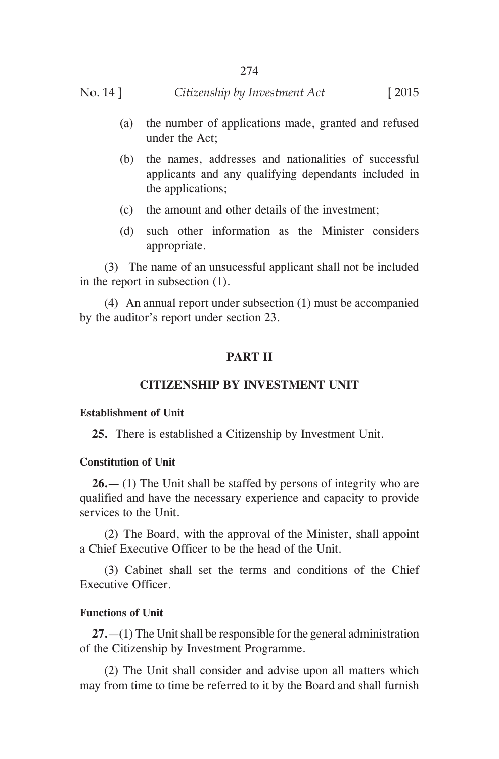### No. 14 ] *Citizenship by Investment Act* [ 2015

- (a) the number of applications made, granted and refused under the Act;
- (b) the names, addresses and nationalities of successful applicants and any qualifying dependants included in the applications;
- (c) the amount and other details of the investment;
- (d) such other information as the Minister considers appropriate.

 (3) The name of an unsucessful applicant shall not be included in the report in subsection (1).

 (4) An annual report under subsection (1) must be accompanied by the auditor's report under section 23.

### **PART II**

### **CITIZENSHIP BY INVESTMENT UNIT**

#### **Establishment of Unit**

**25.** There is established a Citizenship by Investment Unit.

### **Constitution of Unit**

**26.—** (1) The Unit shall be staffed by persons of integrity who are qualified and have the necessary experience and capacity to provide services to the Unit.

 (2) The Board, with the approval of the Minister, shall appoint a Chief Executive Officer to be the head of the Unit.

 (3) Cabinet shall set the terms and conditions of the Chief Executive Officer.

# **Functions of Unit**

**27.**—(1) The Unit shall be responsible for the general administration of the Citizenship by Investment Programme.

 (2) The Unit shall consider and advise upon all matters which may from time to time be referred to it by the Board and shall furnish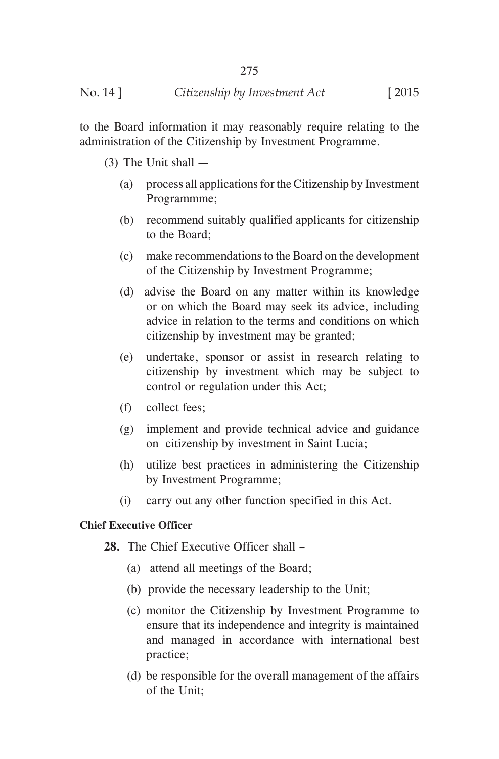to the Board information it may reasonably require relating to the administration of the Citizenship by Investment Programme.

(3) The Unit shall —

- (a) process all applications for the Citizenship by Investment Programmme;
- (b) recommend suitably qualified applicants for citizenship to the Board;
- (c) make recommendations to the Board on the development of the Citizenship by Investment Programme;
- (d) advise the Board on any matter within its knowledge or on which the Board may seek its advice, including advice in relation to the terms and conditions on which citizenship by investment may be granted;
- (e) undertake, sponsor or assist in research relating to citizenship by investment which may be subject to control or regulation under this Act;
- (f) collect fees;
- (g) implement and provide technical advice and guidance on citizenship by investment in Saint Lucia;
- (h) utilize best practices in administering the Citizenship by Investment Programme;
- (i) carry out any other function specified in this Act.

# **Chief Executive Officer**

**28.** The Chief Executive Officer shall –

- (a) attend all meetings of the Board;
- (b) provide the necessary leadership to the Unit;
- (c) monitor the Citizenship by Investment Programme to ensure that its independence and integrity is maintained and managed in accordance with international best practice;
- (d) be responsible for the overall management of the affairs of the Unit;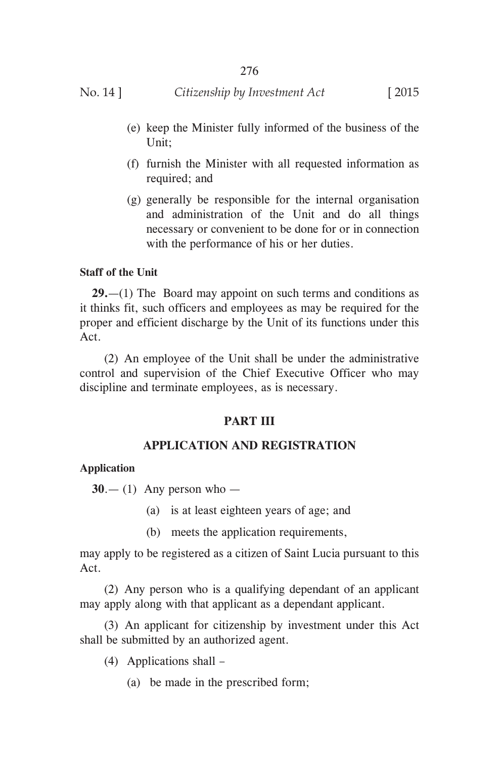# No. 14 ] *Citizenship by Investment Act* [ 2015

- (e) keep the Minister fully informed of the business of the Unit;
- (f) furnish the Minister with all requested information as required; and
- (g) generally be responsible for the internal organisation and administration of the Unit and do all things necessary or convenient to be done for or in connection with the performance of his or her duties.

### **Staff of the Unit**

**29.**—(1) The Board may appoint on such terms and conditions as it thinks fit, such officers and employees as may be required for the proper and efficient discharge by the Unit of its functions under this Act.

 (2) An employee of the Unit shall be under the administrative control and supervision of the Chief Executive Officer who may discipline and terminate employees, as is necessary.

# **PART III**

# **APPLICATION AND REGISTRATION**

### **Application**

 $30 - (1)$  Any person who —

- (a) is at least eighteen years of age; and
- (b) meets the application requirements,

may apply to be registered as a citizen of Saint Lucia pursuant to this Act.

 (2) Any person who is a qualifying dependant of an applicant may apply along with that applicant as a dependant applicant.

 (3) An applicant for citizenship by investment under this Act shall be submitted by an authorized agent.

- (4) Applications shall
	- (a) be made in the prescribed form;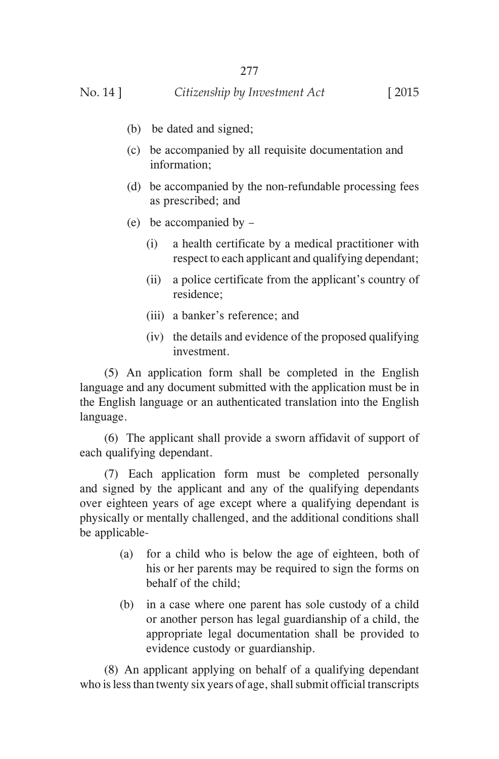- (b) be dated and signed;
- (c) be accompanied by all requisite documentation and information;
- (d) be accompanied by the non-refundable processing fees as prescribed; and
- (e) be accompanied by
	- (i) a health certificate by a medical practitioner with respect to each applicant and qualifying dependant;
	- (ii) a police certificate from the applicant's country of residence;
	- (iii) a banker's reference; and
	- (iv) the details and evidence of the proposed qualifying investment.

 (5) An application form shall be completed in the English language and any document submitted with the application must be in the English language or an authenticated translation into the English language.

 (6) The applicant shall provide a sworn affidavit of support of each qualifying dependant.

 (7) Each application form must be completed personally and signed by the applicant and any of the qualifying dependants over eighteen years of age except where a qualifying dependant is physically or mentally challenged, and the additional conditions shall be applicable-

- (a) for a child who is below the age of eighteen, both of his or her parents may be required to sign the forms on behalf of the child;
- (b) in a case where one parent has sole custody of a child or another person has legal guardianship of a child, the appropriate legal documentation shall be provided to evidence custody or guardianship.

 (8) An applicant applying on behalf of a qualifying dependant who is less than twenty six years of age, shall submit official transcripts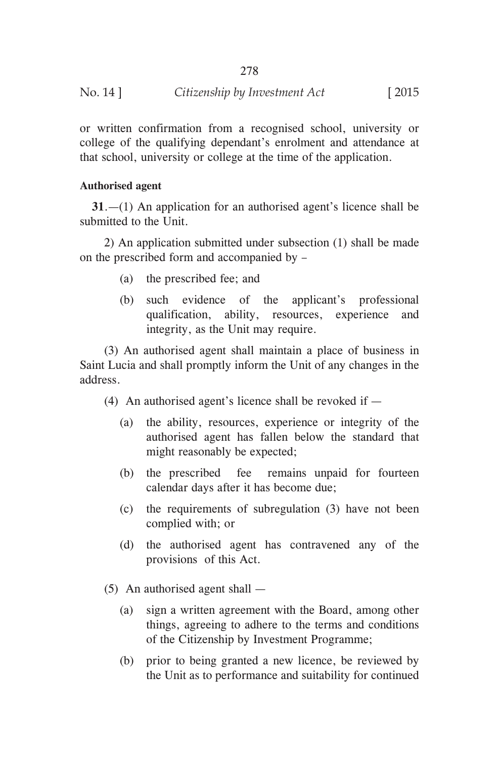| No. 14 ] | Citizenship by Investment Act | $\lceil 2015 \rceil$ |
|----------|-------------------------------|----------------------|
|----------|-------------------------------|----------------------|

or written confirmation from a recognised school, university or college of the qualifying dependant's enrolment and attendance at that school, university or college at the time of the application.

### **Authorised agent**

**31**.—(1) An application for an authorised agent's licence shall be submitted to the Unit.

 2) An application submitted under subsection (1) shall be made on the prescribed form and accompanied by –

- (a) the prescribed fee; and
- (b) such evidence of the applicant's professional qualification, ability, resources, experience and integrity, as the Unit may require.

 (3) An authorised agent shall maintain a place of business in Saint Lucia and shall promptly inform the Unit of any changes in the address.

(4) An authorised agent's licence shall be revoked if  $-$ 

- (a) the ability, resources, experience or integrity of the authorised agent has fallen below the standard that might reasonably be expected;
- (b) the prescribed fee remains unpaid for fourteen calendar days after it has become due;
- (c) the requirements of subregulation (3) have not been complied with; or
- (d) the authorised agent has contravened any of the provisions of this Act.

(5) An authorised agent shall —

- (a) sign a written agreement with the Board, among other things, agreeing to adhere to the terms and conditions of the Citizenship by Investment Programme;
- (b) prior to being granted a new licence, be reviewed by the Unit as to performance and suitability for continued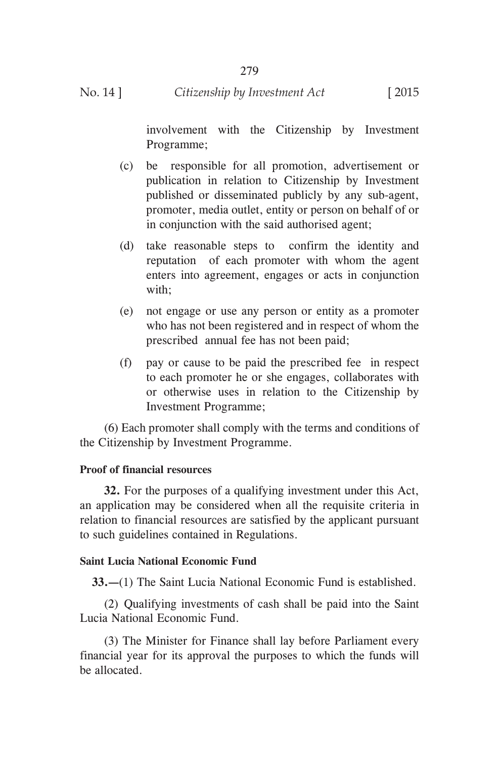involvement with the Citizenship by Investment Programme;

- (c) be responsible for all promotion, advertisement or publication in relation to Citizenship by Investment published or disseminated publicly by any sub-agent, promoter, media outlet, entity or person on behalf of or in conjunction with the said authorised agent;
- (d) take reasonable steps to confirm the identity and reputation of each promoter with whom the agent enters into agreement, engages or acts in conjunction with;
- (e) not engage or use any person or entity as a promoter who has not been registered and in respect of whom the prescribed annual fee has not been paid;
- (f) pay or cause to be paid the prescribed fee in respect to each promoter he or she engages, collaborates with or otherwise uses in relation to the Citizenship by Investment Programme;

 (6) Each promoter shall comply with the terms and conditions of the Citizenship by Investment Programme.

# **Proof of financial resources**

 **32.** For the purposes of a qualifying investment under this Act, an application may be considered when all the requisite criteria in relation to financial resources are satisfied by the applicant pursuant to such guidelines contained in Regulations.

### **Saint Lucia National Economic Fund**

**33.—**(1) The Saint Lucia National Economic Fund is established.

 (2) Qualifying investments of cash shall be paid into the Saint Lucia National Economic Fund.

 (3) The Minister for Finance shall lay before Parliament every financial year for its approval the purposes to which the funds will be allocated.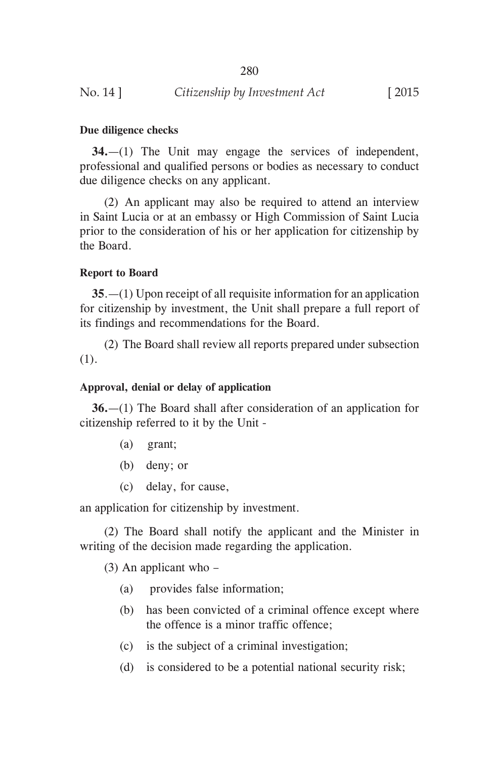### **Due diligence checks**

**34.**—(1) The Unit may engage the services of independent, professional and qualified persons or bodies as necessary to conduct due diligence checks on any applicant.

 (2) An applicant may also be required to attend an interview in Saint Lucia or at an embassy or High Commission of Saint Lucia prior to the consideration of his or her application for citizenship by the Board.

### **Report to Board**

**35**.—(1) Upon receipt of all requisite information for an application for citizenship by investment, the Unit shall prepare a full report of its findings and recommendations for the Board.

 (2) The Board shall review all reports prepared under subsection (1).

### **Approval, denial or delay of application**

**36.**—(1) The Board shall after consideration of an application for citizenship referred to it by the Unit -

- (a) grant;
- (b) deny; or
- (c) delay, for cause,

an application for citizenship by investment.

 (2) The Board shall notify the applicant and the Minister in writing of the decision made regarding the application.

(3) An applicant who –

- (a) provides false information;
- (b) has been convicted of a criminal offence except where the offence is a minor traffic offence;
- (c) is the subject of a criminal investigation;
- (d) is considered to be a potential national security risk;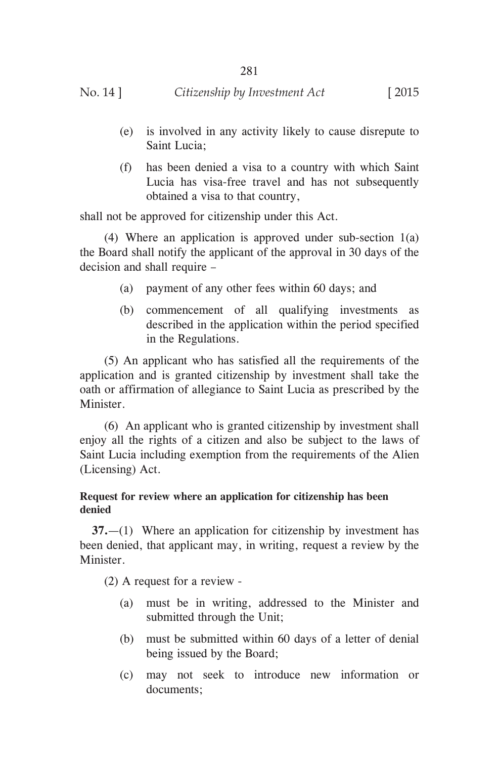- (e) is involved in any activity likely to cause disrepute to Saint Lucia;
- (f) has been denied a visa to a country with which Saint Lucia has visa-free travel and has not subsequently obtained a visa to that country,

shall not be approved for citizenship under this Act.

 (4) Where an application is approved under sub-section 1(a) the Board shall notify the applicant of the approval in 30 days of the decision and shall require –

- (a) payment of any other fees within 60 days; and
- (b) commencement of all qualifying investments as described in the application within the period specified in the Regulations.

 (5) An applicant who has satisfied all the requirements of the application and is granted citizenship by investment shall take the oath or affirmation of allegiance to Saint Lucia as prescribed by the Minister.

 (6) An applicant who is granted citizenship by investment shall enjoy all the rights of a citizen and also be subject to the laws of Saint Lucia including exemption from the requirements of the Alien (Licensing) Act.

# **Request for review where an application for citizenship has been denied**

**37.**—(1) Where an application for citizenship by investment has been denied, that applicant may, in writing, request a review by the Minister.

(2) A request for a review -

- (a) must be in writing, addressed to the Minister and submitted through the Unit;
- (b) must be submitted within 60 days of a letter of denial being issued by the Board;
- (c) may not seek to introduce new information or documents;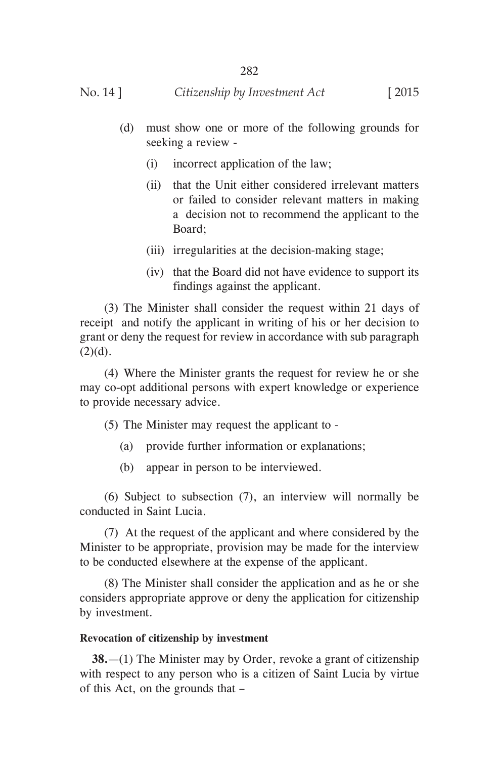- (d) must show one or more of the following grounds for seeking a review -
	- (i) incorrect application of the law;
	- (ii) that the Unit either considered irrelevant matters or failed to consider relevant matters in making a decision not to recommend the applicant to the Board;
	- (iii) irregularities at the decision-making stage;
	- (iv) that the Board did not have evidence to support its findings against the applicant.

 (3) The Minister shall consider the request within 21 days of receipt and notify the applicant in writing of his or her decision to grant or deny the request for review in accordance with sub paragraph  $(2)(d)$ .

 (4) Where the Minister grants the request for review he or she may co-opt additional persons with expert knowledge or experience to provide necessary advice.

(5) The Minister may request the applicant to -

- (a) provide further information or explanations;
- (b) appear in person to be interviewed.

 (6) Subject to subsection (7), an interview will normally be conducted in Saint Lucia.

 (7) At the request of the applicant and where considered by the Minister to be appropriate, provision may be made for the interview to be conducted elsewhere at the expense of the applicant.

 (8) The Minister shall consider the application and as he or she considers appropriate approve or deny the application for citizenship by investment.

# **Revocation of citizenship by investment**

**38.**—(1) The Minister may by Order, revoke a grant of citizenship with respect to any person who is a citizen of Saint Lucia by virtue of this Act, on the grounds that –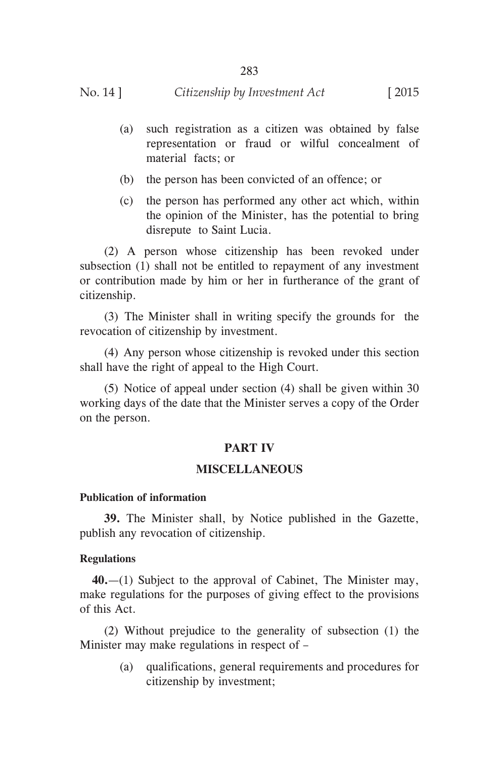- (a) such registration as a citizen was obtained by false representation or fraud or wilful concealment of material facts; or
- (b) the person has been convicted of an offence; or
- (c) the person has performed any other act which, within the opinion of the Minister, has the potential to bring disrepute to Saint Lucia.

 (2) A person whose citizenship has been revoked under subsection (1) shall not be entitled to repayment of any investment or contribution made by him or her in furtherance of the grant of citizenship.

 (3) The Minister shall in writing specify the grounds for the revocation of citizenship by investment.

 (4) Any person whose citizenship is revoked under this section shall have the right of appeal to the High Court.

 (5) Notice of appeal under section (4) shall be given within 30 working days of the date that the Minister serves a copy of the Order on the person.

### **PART IV**

### **MISCELLANEOUS**

### **Publication of information**

 **39.** The Minister shall, by Notice published in the Gazette, publish any revocation of citizenship.

#### **Regulations**

**40.**—(1) Subject to the approval of Cabinet, The Minister may, make regulations for the purposes of giving effect to the provisions of this Act.

 (2) Without prejudice to the generality of subsection (1) the Minister may make regulations in respect of –

> (a) qualifications, general requirements and procedures for citizenship by investment;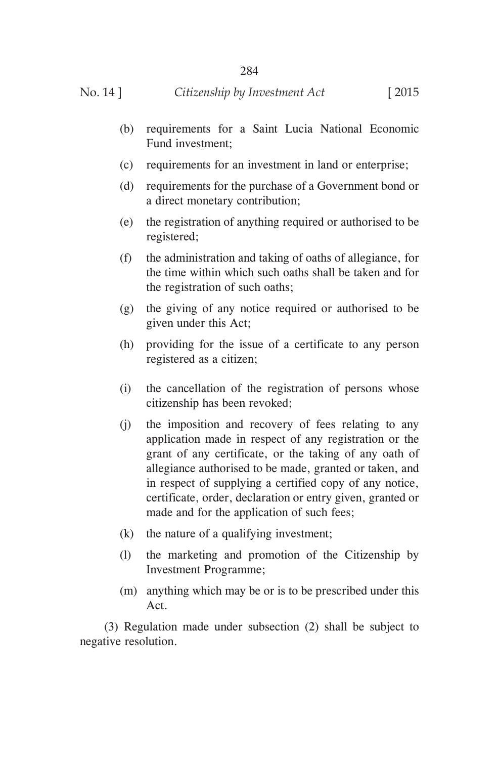- (b) requirements for a Saint Lucia National Economic Fund investment;
- (c) requirements for an investment in land or enterprise;
- (d) requirements for the purchase of a Government bond or a direct monetary contribution;
- (e) the registration of anything required or authorised to be registered;
- (f) the administration and taking of oaths of allegiance, for the time within which such oaths shall be taken and for the registration of such oaths;
- (g) the giving of any notice required or authorised to be given under this Act;
- (h) providing for the issue of a certificate to any person registered as a citizen;
- (i) the cancellation of the registration of persons whose citizenship has been revoked;
- (j) the imposition and recovery of fees relating to any application made in respect of any registration or the grant of any certificate, or the taking of any oath of allegiance authorised to be made, granted or taken, and in respect of supplying a certified copy of any notice, certificate, order, declaration or entry given, granted or made and for the application of such fees;
- (k) the nature of a qualifying investment;
- (l) the marketing and promotion of the Citizenship by Investment Programme;
- (m) anything which may be or is to be prescribed under this Act.

 (3) Regulation made under subsection (2) shall be subject to negative resolution.